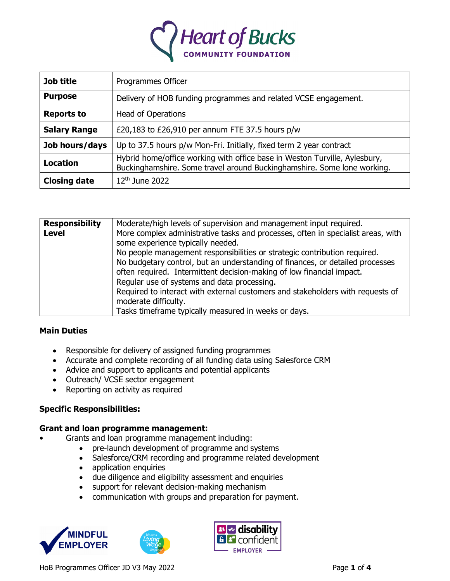

| Job title           | Programmes Officer                                                                                                                                    |  |  |
|---------------------|-------------------------------------------------------------------------------------------------------------------------------------------------------|--|--|
| <b>Purpose</b>      | Delivery of HOB funding programmes and related VCSE engagement.                                                                                       |  |  |
| <b>Reports to</b>   | <b>Head of Operations</b>                                                                                                                             |  |  |
| <b>Salary Range</b> | £20,183 to £26,910 per annum FTE 37.5 hours p/w                                                                                                       |  |  |
| Job hours/days      | Up to 37.5 hours p/w Mon-Fri. Initially, fixed term 2 year contract                                                                                   |  |  |
| <b>Location</b>     | Hybrid home/office working with office base in Weston Turville, Aylesbury,<br>Buckinghamshire. Some travel around Buckinghamshire. Some lone working. |  |  |
| <b>Closing date</b> | $12th$ June 2022                                                                                                                                      |  |  |

| <b>Responsibility</b>                                                     | Moderate/high levels of supervision and management input required.                                                    |  |  |  |  |  |
|---------------------------------------------------------------------------|-----------------------------------------------------------------------------------------------------------------------|--|--|--|--|--|
| <b>Level</b>                                                              | More complex administrative tasks and processes, often in specialist areas, with<br>some experience typically needed. |  |  |  |  |  |
| No people management responsibilities or strategic contribution required. |                                                                                                                       |  |  |  |  |  |
|                                                                           | No budgetary control, but an understanding of finances, or detailed processes                                         |  |  |  |  |  |
|                                                                           | often required. Intermittent decision-making of low financial impact.                                                 |  |  |  |  |  |
|                                                                           | Regular use of systems and data processing.                                                                           |  |  |  |  |  |
|                                                                           | Required to interact with external customers and stakeholders with requests of                                        |  |  |  |  |  |
|                                                                           | moderate difficulty.                                                                                                  |  |  |  |  |  |
|                                                                           | Tasks timeframe typically measured in weeks or days.                                                                  |  |  |  |  |  |

### **Main Duties**

- Responsible for delivery of assigned funding programmes
- Accurate and complete recording of all funding data using Salesforce CRM
- Advice and support to applicants and potential applicants
- Outreach/ VCSE sector engagement
- Reporting on activity as required

### **Specific Responsibilities:**

### **Grant and loan programme management:**

- Grants and loan programme management including:
	- pre-launch development of programme and systems
	- Salesforce/CRM recording and programme related development
	- application enquiries
	- due diligence and eligibility assessment and enquiries
	- support for relevant decision-making mechanism
	- communication with groups and preparation for payment.





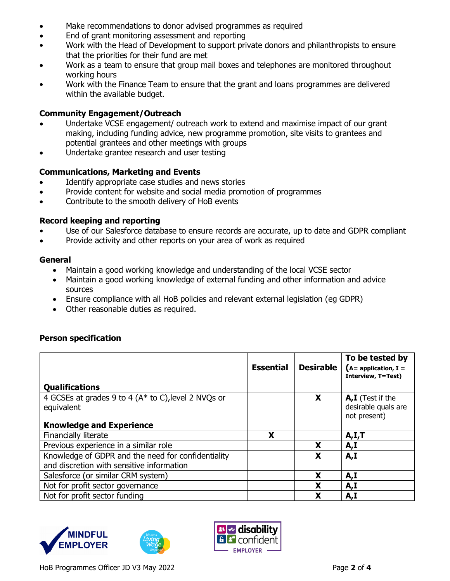- Make recommendations to donor advised programmes as required
- End of grant monitoring assessment and reporting
- Work with the Head of Development to support private donors and philanthropists to ensure that the priorities for their fund are met
- Work as a team to ensure that group mail boxes and telephones are monitored throughout working hours
- Work with the Finance Team to ensure that the grant and loans programmes are delivered within the available budget.

## **Community Engagement/Outreach**

- Undertake VCSE engagement/ outreach work to extend and maximise impact of our grant making, including funding advice, new programme promotion, site visits to grantees and potential grantees and other meetings with groups
- Undertake grantee research and user testing

### **Communications, Marketing and Events**

- Identify appropriate case studies and news stories
- Provide content for website and social media promotion of programmes
- Contribute to the smooth delivery of HoB events

### **Record keeping and reporting**

- Use of our Salesforce database to ensure records are accurate, up to date and GDPR compliant
- Provide activity and other reports on your area of work as required

### **General**

- Maintain a good working knowledge and understanding of the local VCSE sector
- Maintain a good working knowledge of external funding and other information and advice sources
- Ensure compliance with all HoB policies and relevant external legislation (eg GDPR)
- Other reasonable duties as required.

### **Person specification**

|                                                                                                 | <b>Essential</b> | <b>Desirable</b> | To be tested by<br>$(A = application, I =$<br>Interview, T=Test) |
|-------------------------------------------------------------------------------------------------|------------------|------------------|------------------------------------------------------------------|
| <b>Qualifications</b>                                                                           |                  |                  |                                                                  |
| 4 GCSEs at grades 9 to 4 (A* to C), level 2 NVQs or<br>equivalent                               |                  | X                | A,I (Test if the<br>desirable quals are<br>not present)          |
| <b>Knowledge and Experience</b>                                                                 |                  |                  |                                                                  |
| Financially literate                                                                            | X                |                  | A, I, T                                                          |
| Previous experience in a similar role                                                           |                  | X                | A,I                                                              |
| Knowledge of GDPR and the need for confidentiality<br>and discretion with sensitive information |                  | X                | A, I                                                             |
| Salesforce (or similar CRM system)                                                              |                  | X                | A,I                                                              |
| Not for profit sector governance                                                                |                  | Х                | A,I                                                              |
| Not for profit sector funding                                                                   |                  |                  | A,I                                                              |





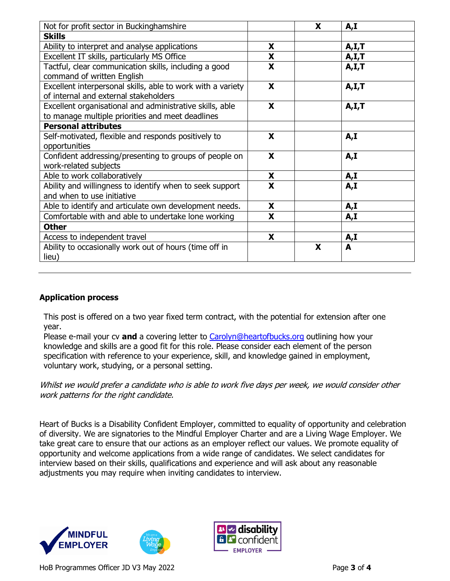| Not for profit sector in Buckinghamshire                    |   | X | A,I     |
|-------------------------------------------------------------|---|---|---------|
| <b>Skills</b>                                               |   |   |         |
| Ability to interpret and analyse applications               | X |   | A,I,T   |
| Excellent IT skills, particularly MS Office                 | X |   | A, I, T |
| Tactful, clear communication skills, including a good       | X |   | A,I,T   |
| command of written English                                  |   |   |         |
| Excellent interpersonal skills, able to work with a variety | X |   | A, I, T |
| of internal and external stakeholders                       |   |   |         |
| Excellent organisational and administrative skills, able    | X |   | A, I, T |
| to manage multiple priorities and meet deadlines            |   |   |         |
| <b>Personal attributes</b>                                  |   |   |         |
| Self-motivated, flexible and responds positively to         | X |   | A,I     |
| opportunities                                               |   |   |         |
| Confident addressing/presenting to groups of people on      | X |   | A,I     |
| work-related subjects                                       |   |   |         |
| Able to work collaboratively                                | X |   | A,I     |
| Ability and willingness to identify when to seek support    | X |   | A,I     |
| and when to use initiative                                  |   |   |         |
| Able to identify and articulate own development needs.      | X |   | A,I     |
| Comfortable with and able to undertake lone working         | X |   | A,I     |
| <b>Other</b>                                                |   |   |         |
| Access to independent travel                                | X |   | A, I    |
| Ability to occasionally work out of hours (time off in      |   | X | A       |
| lieu)                                                       |   |   |         |

# **Application process**

This post is offered on a two year fixed term contract, with the potential for extension after one year.

Please e-mail your cv **and** a covering letter to [Carolyn@heartofbucks.org](mailto:Carolyn@heartofbucks.org) outlining how your knowledge and skills are a good fit for this role. Please consider each element of the person specification with reference to your experience, skill, and knowledge gained in employment, voluntary work, studying, or a personal setting.

Whilst we would prefer a candidate who is able to work five days per week, we would consider other work patterns for the right candidate.

Heart of Bucks is a Disability Confident Employer, committed to equality of opportunity and celebration of diversity. We are signatories to the Mindful Employer Charter and are a Living Wage Employer. We take great care to ensure that our actions as an employer reflect our values. We promote equality of opportunity and welcome applications from a wide range of candidates. We select candidates for interview based on their skills, qualifications and experience and will ask about any reasonable adjustments you may require when inviting candidates to interview.